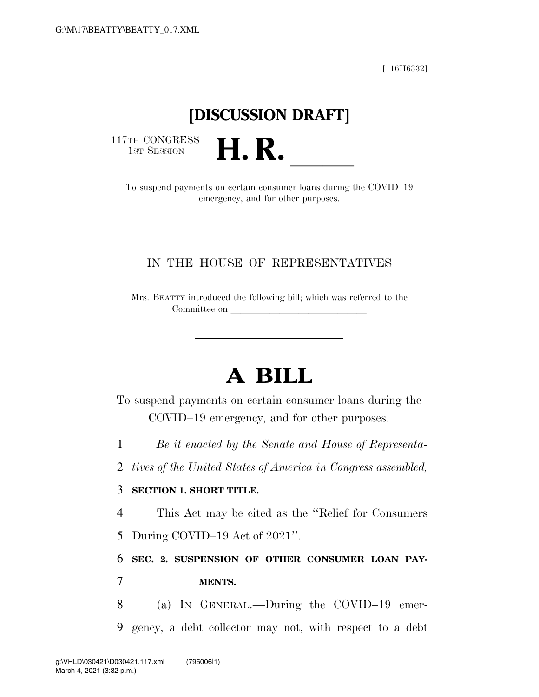[116H6332]

## **[DISCUSSION DRAFT]**

117TH CONGRESS<br>1st Session

TH CONGRESS<br>1st SESSION **H. R. H. R. A. A. B. A. COVID–19**<br>To suspend payments on certain consumer loans during the COVID–19 emergency, and for other purposes.

## IN THE HOUSE OF REPRESENTATIVES

Mrs. BEATTY introduced the following bill; which was referred to the Committee on

## **A BILL**

To suspend payments on certain consumer loans during the COVID–19 emergency, and for other purposes.

1 *Be it enacted by the Senate and House of Representa-*

2 *tives of the United States of America in Congress assembled,* 

## 3 **SECTION 1. SHORT TITLE.**

4 This Act may be cited as the ''Relief for Consumers

5 During COVID–19 Act of 2021''.

6 **SEC. 2. SUSPENSION OF OTHER CONSUMER LOAN PAY-**7 **MENTS.** 

8 (a) IN GENERAL.—During the COVID–19 emer-9 gency, a debt collector may not, with respect to a debt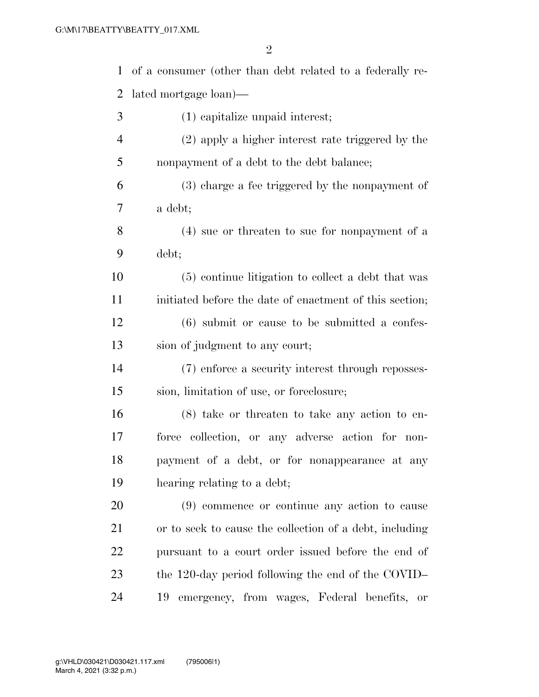| $\mathbf{1}$   | of a consumer (other than debt related to a federally re- |
|----------------|-----------------------------------------------------------|
| $\overline{2}$ | lated mortgage loan)—                                     |
| 3              | (1) capitalize unpaid interest;                           |
| $\overline{4}$ | (2) apply a higher interest rate triggered by the         |
| 5              | nonpayment of a debt to the debt balance;                 |
| 6              | (3) charge a fee triggered by the nonpayment of           |
| 7              | a debt;                                                   |
| 8              | (4) sue or threaten to sue for nonpayment of a            |
| 9              | debt;                                                     |
| 10             | (5) continue litigation to collect a debt that was        |
| 11             | initiated before the date of enactment of this section;   |
| 12             | $(6)$ submit or cause to be submitted a confes-           |
| 13             | sion of judgment to any court;                            |
| 14             | (7) enforce a security interest through reposses-         |
| 15             | sion, limitation of use, or foreclosure;                  |
| 16             | $(8)$ take or threaten to take any action to en-          |
| 17             | force collection, or any adverse action for non-          |
| 18             | payment of a debt, or for nonappearance at any            |
| 19             | hearing relating to a debt;                               |
| 20             | (9) commence or continue any action to cause              |
| 21             | or to seek to cause the collection of a debt, including   |
| <u>22</u>      | pursuant to a court order issued before the end of        |
| 23             | the 120-day period following the end of the COVID-        |
| 24             | 19<br>emergency, from wages, Federal benefits, or         |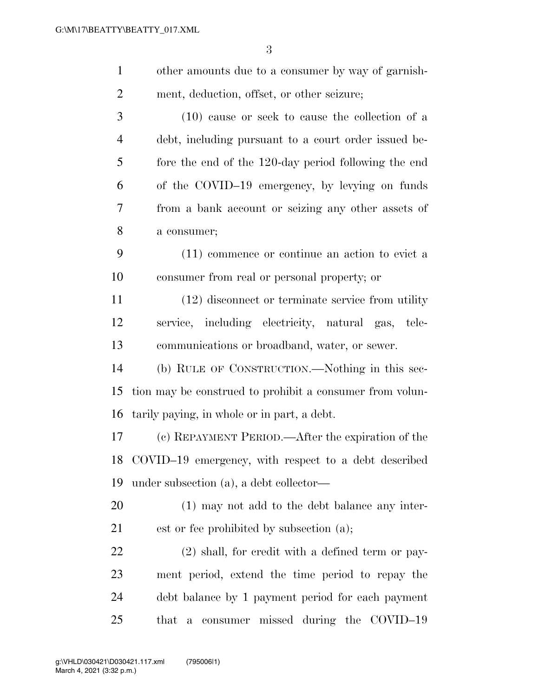| $\mathbf{1}$   | other amounts due to a consumer by way of garnish-       |
|----------------|----------------------------------------------------------|
| $\overline{2}$ | ment, deduction, offset, or other seizure;               |
| 3              | $(10)$ cause or seek to cause the collection of a        |
| $\overline{4}$ | debt, including pursuant to a court order issued be-     |
| 5              | fore the end of the 120-day period following the end     |
| 6              | of the COVID-19 emergency, by levying on funds           |
| 7              | from a bank account or seizing any other assets of       |
| 8              | a consumer;                                              |
| 9              | (11) commence or continue an action to evict a           |
| 10             | consumer from real or personal property; or              |
| 11             | (12) disconnect or terminate service from utility        |
| 12             | service, including electricity, natural gas, tele-       |
| 13             | communications or broadband, water, or sewer.            |
| 14             | (b) RULE OF CONSTRUCTION.—Nothing in this sec-           |
| 15             | tion may be construed to prohibit a consumer from volun- |
| 16             | tarily paying, in whole or in part, a debt.              |
| 17             | (c) REPAYMENT PERIOD.—After the expiration of the        |
|                | 18 COVID-19 emergency, with respect to a debt described  |
| 19             | under subsection (a), a debt collector—                  |
| 20             | $(1)$ may not add to the debt balance any inter-         |
| 21             | est or fee prohibited by subsection (a);                 |
| 22             | $(2)$ shall, for credit with a defined term or pay-      |
| 23             | ment period, extend the time period to repay the         |
| 24             | debt balance by 1 payment period for each payment        |
| 25             | that a consumer missed during the COVID-19               |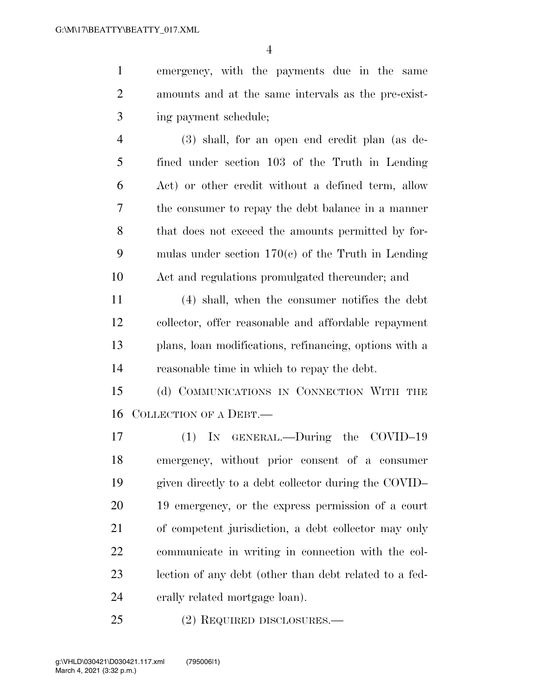emergency, with the payments due in the same amounts and at the same intervals as the pre-exist-ing payment schedule;

 (3) shall, for an open end credit plan (as de- fined under section 103 of the Truth in Lending Act) or other credit without a defined term, allow the consumer to repay the debt balance in a manner that does not exceed the amounts permitted by for- mulas under section 170(c) of the Truth in Lending Act and regulations promulgated thereunder; and

 (4) shall, when the consumer notifies the debt collector, offer reasonable and affordable repayment plans, loan modifications, refinancing, options with a reasonable time in which to repay the debt.

 (d) COMMUNICATIONS IN CONNECTION WITH THE COLLECTION OF A DEBT.—

 (1) IN GENERAL.—During the COVID–19 emergency, without prior consent of a consumer given directly to a debt collector during the COVID– 19 emergency, or the express permission of a court of competent jurisdiction, a debt collector may only communicate in writing in connection with the col- lection of any debt (other than debt related to a fed-erally related mortgage loan).

(2) REQUIRED DISCLOSURES.—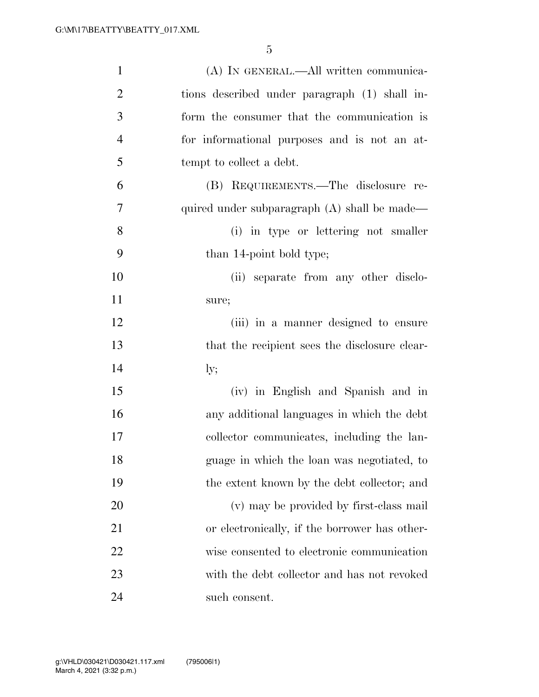| $\mathbf{1}$   | (A) IN GENERAL.—All written communica-        |
|----------------|-----------------------------------------------|
| $\overline{2}$ | tions described under paragraph (1) shall in- |
| 3              | form the consumer that the communication is   |
| $\overline{4}$ | for informational purposes and is not an at-  |
| 5              | tempt to collect a debt.                      |
| 6              | (B) REQUIREMENTS.—The disclosure re-          |
| $\tau$         | quired under subparagraph (A) shall be made—  |
| 8              | (i) in type or lettering not smaller          |
| 9              | than 14-point bold type;                      |
| 10             | (ii) separate from any other disclo-          |
| 11             | sure;                                         |
| 12             | (iii) in a manner designed to ensure          |
| 13             | that the recipient sees the disclosure clear- |
| 14             | $\rm{ly;}$                                    |
| 15             | (iv) in English and Spanish and in            |
| 16             | any additional languages in which the debt    |
| 17             | collector communicates, including the lan-    |
| 18             | guage in which the loan was negotiated, to    |
| 19             | the extent known by the debt collector; and   |
| 20             | (v) may be provided by first-class mail       |
| 21             | or electronically, if the borrower has other- |
| 22             | wise consented to electronic communication    |
| 23             | with the debt collector and has not revoked   |
| 24             | such consent.                                 |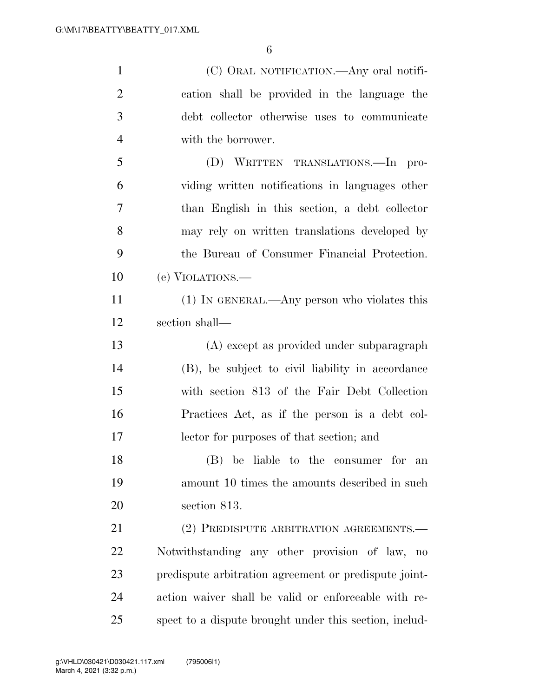| $\mathbf{1}$   | (C) ORAL NOTIFICATION.—Any oral notifi-                |
|----------------|--------------------------------------------------------|
| $\overline{2}$ | cation shall be provided in the language the           |
| 3              | debt collector otherwise uses to communicate           |
| $\overline{4}$ | with the borrower.                                     |
| 5              | (D) WRITTEN TRANSLATIONS.—In pro-                      |
| 6              | viding written notifications in languages other        |
| 7              | than English in this section, a debt collector         |
| 8              | may rely on written translations developed by          |
| 9              | the Bureau of Consumer Financial Protection.           |
| 10             | (e) VIOLATIONS.—                                       |
| 11             | $(1)$ In GENERAL.—Any person who violates this         |
| 12             | section shall—                                         |
| 13             | (A) except as provided under subparagraph              |
| 14             | (B), be subject to civil liability in accordance       |
| 15             | with section 813 of the Fair Debt Collection           |
| 16             | Practices Act, as if the person is a debt col-         |
| 17             | lector for purposes of that section; and               |
| 18             | (B) be liable to the consumer for an                   |
| 19             | amount 10 times the amounts described in such          |
| 20             | section 813.                                           |
| 21             | (2) PREDISPUTE ARBITRATION AGREEMENTS.-                |
| 22             | Notwithstanding any other provision of law, no         |
| 23             | predispute arbitration agreement or predispute joint-  |
| 24             | action waiver shall be valid or enforceable with re-   |
| 25             | spect to a dispute brought under this section, includ- |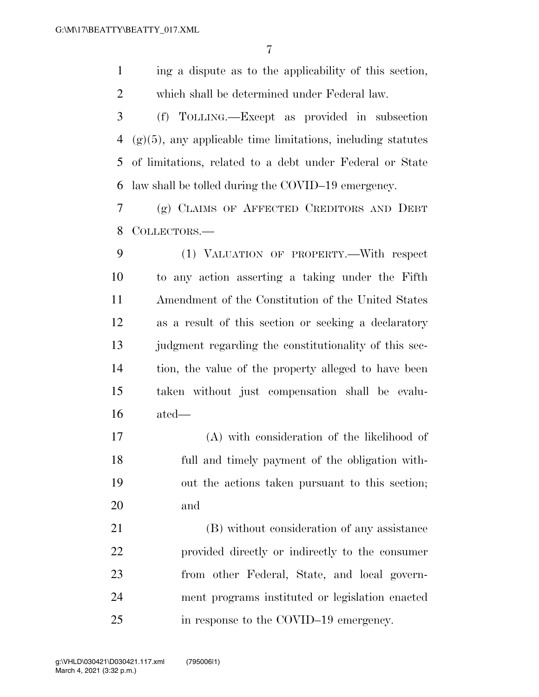ing a dispute as to the applicability of this section, which shall be determined under Federal law.

 (f) TOLLING.—Except as provided in subsection (g)(5), any applicable time limitations, including statutes of limitations, related to a debt under Federal or State law shall be tolled during the COVID–19 emergency.

 (g) CLAIMS OF AFFECTED CREDITORS AND DEBT COLLECTORS.—

 (1) VALUATION OF PROPERTY.—With respect to any action asserting a taking under the Fifth Amendment of the Constitution of the United States as a result of this section or seeking a declaratory 13 judgment regarding the constitutionality of this sec- tion, the value of the property alleged to have been taken without just compensation shall be evalu-ated—

 (A) with consideration of the likelihood of full and timely payment of the obligation with- out the actions taken pursuant to this section; and

 (B) without consideration of any assistance provided directly or indirectly to the consumer from other Federal, State, and local govern- ment programs instituted or legislation enacted in response to the COVID–19 emergency.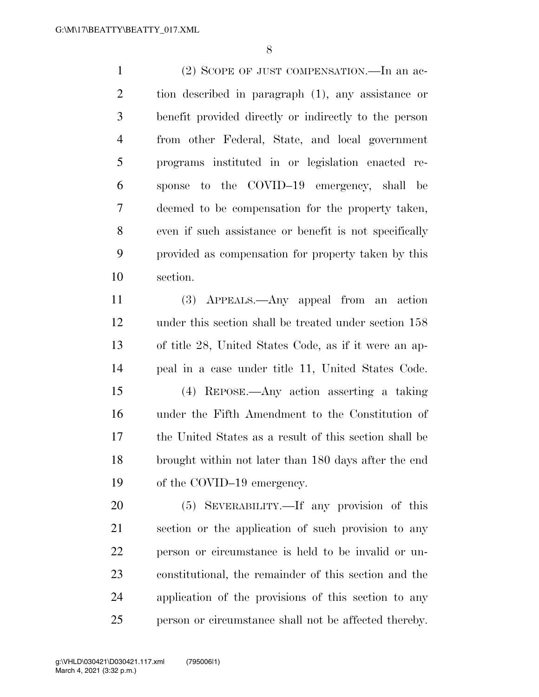(2) SCOPE OF JUST COMPENSATION.—In an ac- tion described in paragraph (1), any assistance or benefit provided directly or indirectly to the person from other Federal, State, and local government programs instituted in or legislation enacted re- sponse to the COVID–19 emergency, shall be deemed to be compensation for the property taken, even if such assistance or benefit is not specifically provided as compensation for property taken by this section.

 (3) APPEALS.—Any appeal from an action under this section shall be treated under section 158 of title 28, United States Code, as if it were an ap-peal in a case under title 11, United States Code.

 (4) REPOSE.—Any action asserting a taking under the Fifth Amendment to the Constitution of the United States as a result of this section shall be brought within not later than 180 days after the end 19 of the COVID–19 emergency.

 (5) SEVERABILITY.—If any provision of this section or the application of such provision to any person or circumstance is held to be invalid or un- constitutional, the remainder of this section and the application of the provisions of this section to any person or circumstance shall not be affected thereby.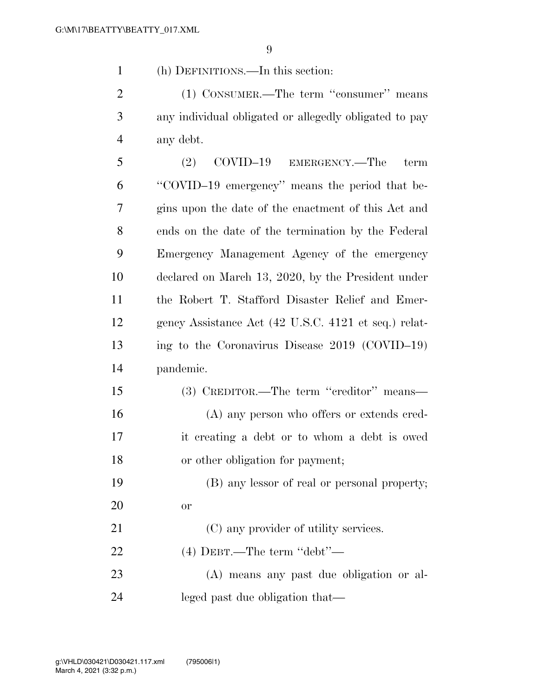(h) DEFINITIONS.—In this section:

2 (1) CONSUMER.—The term "consumer" means any individual obligated or allegedly obligated to pay any debt.

 (2) COVID–19 EMERGENCY.—The term ''COVID–19 emergency'' means the period that be- gins upon the date of the enactment of this Act and ends on the date of the termination by the Federal Emergency Management Agency of the emergency declared on March 13, 2020, by the President under the Robert T. Stafford Disaster Relief and Emer- gency Assistance Act (42 U.S.C. 4121 et seq.) relat- ing to the Coronavirus Disease 2019 (COVID–19) pandemic.

 (3) CREDITOR.—The term ''creditor'' means— (A) any person who offers or extends cred- it creating a debt or to whom a debt is owed or other obligation for payment;

 (B) any lessor of real or personal property; or

21 (C) any provider of utility services. (4) DEBT.—The term ''debt''— (A) means any past due obligation or al-

leged past due obligation that—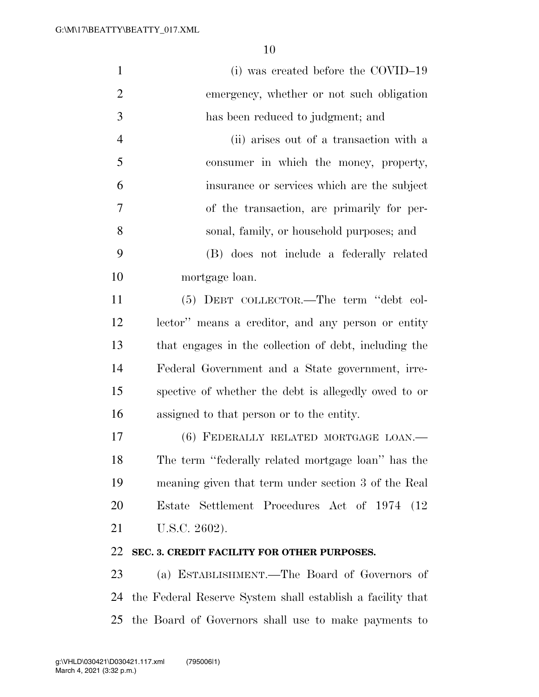| $\mathbf{1}$   | (i) was created before the COVID-19                        |
|----------------|------------------------------------------------------------|
| $\overline{2}$ | emergency, whether or not such obligation                  |
| 3              | has been reduced to judgment; and                          |
| $\overline{4}$ | (ii) arises out of a transaction with a                    |
| 5              | consumer in which the money, property,                     |
| 6              | insurance or services which are the subject                |
| 7              | of the transaction, are primarily for per-                 |
| 8              | sonal, family, or household purposes; and                  |
| 9              | (B) does not include a federally related                   |
| 10             | mortgage loan.                                             |
| 11             | (5) DEBT COLLECTOR.—The term "debt col-                    |
| 12             | lector" means a creditor, and any person or entity         |
| 13             | that engages in the collection of debt, including the      |
| 14             | Federal Government and a State government, irre-           |
| 15             | spective of whether the debt is allegedly owed to or       |
| 16             | assigned to that person or to the entity.                  |
| 17             | (6) FEDERALLY RELATED MORTGAGE LOAN.—                      |
| 18             | The term "federally related mortgage loan" has the         |
| 19             | meaning given that term under section 3 of the Real        |
| 20             | Estate Settlement Procedures Act of 1974 (12)              |
| 21             | U.S.C. 2602).                                              |
| 22             | SEC. 3. CREDIT FACILITY FOR OTHER PURPOSES.                |
| 23             | (a) ESTABLISHMENT.—The Board of Governors of               |
| 24             | the Federal Reserve System shall establish a facility that |
| 25             | the Board of Governors shall use to make payments to       |